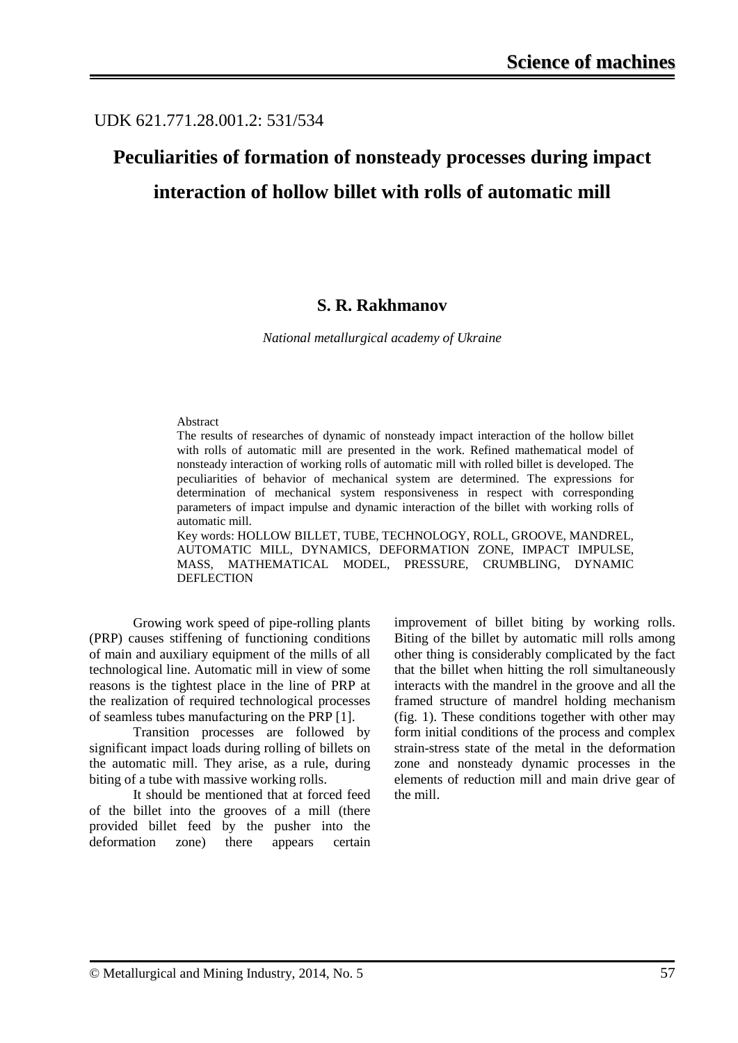### UDK 621.771.28.001.2: 531/534

# **Peculiarities of formation of nonsteady processes during impact interaction of hollow billet with rolls of automatic mill**

#### **S. R. Rakhmanov**

*National metallurgical academy of Ukraine*

#### Abstract

The results of researches of dynamic of nonsteady impact interaction of the hollow billet with rolls of automatic mill are presented in the work. Refined mathematical model of nonsteady interaction of working rolls of automatic mill with rolled billet is developed. The peculiarities of behavior of mechanical system are determined. The expressions for determination of mechanical system responsiveness in respect with corresponding parameters of impact impulse and dynamic interaction of the billet with working rolls of automatic mill.

Key words: HOLLOW BILLET, TUBE, TECHNOLOGY, ROLL, GROOVE, MANDREL, AUTOMATIC MILL, DYNAMICS, DEFORMATION ZONE, IMPACT IMPULSE, MASS, MATHEMATICAL MODEL, PRESSURE, CRUMBLING, DYNAMIC **DEFLECTION** 

Growing work speed of pipe-rolling plants (PRP) causes stiffening of functioning conditions of main and auxiliary equipment of the mills of all technological line. Automatic mill in view of some reasons is the tightest place in the line of PRP at the realization of required technological processes of seamless tubes manufacturing on the PRP [1].

Transition processes are followed by significant impact loads during rolling of billets on the automatic mill. They arise, as a rule, during biting of a tube with massive working rolls.

It should be mentioned that at forced feed of the billet into the grooves of a mill (there provided billet feed by the pusher into the deformation zone) there appears certain improvement of billet biting by working rolls. Biting of the billet by automatic mill rolls among other thing is considerably complicated by the fact that the billet when hitting the roll simultaneously interacts with the mandrel in the groove and all the framed structure of mandrel holding mechanism (fig. 1). These conditions together with other may form initial conditions of the process and complex strain-stress state of the metal in the deformation zone and nonsteady dynamic processes in the elements of reduction mill and main drive gear of the mill.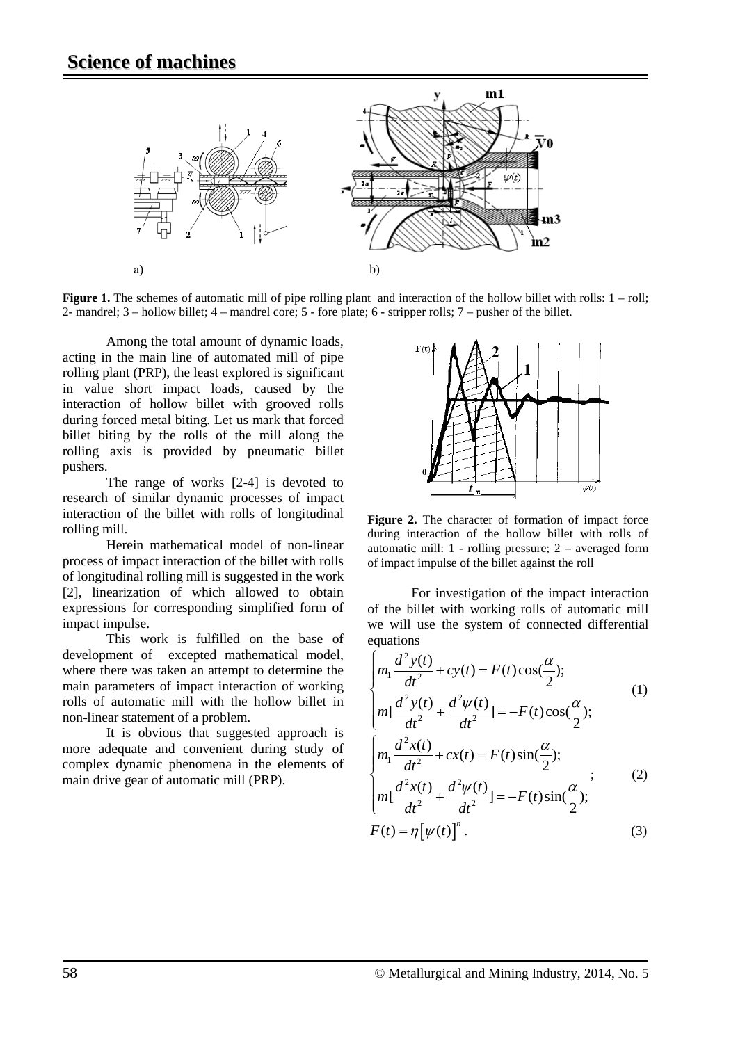

**Figure 1.** The schemes of automatic mill of pipe rolling plant and interaction of the hollow billet with rolls:  $1 -$ roll; 2- mandrel; 3 – hollow billet; 4 – mandrel core; 5 - fore plate; 6 - stripper rolls; 7 – pusher of the billet.

Among the total amount of dynamic loads, acting in the main line of automated mill of pipe rolling plant (PRP), the least explored is significant in value short impact loads, caused by the interaction of hollow billet with grooved rolls during forced metal biting. Let us mark that forced billet biting by the rolls of the mill along the rolling axis is provided by pneumatic billet pushers.

The range of works [2-4] is devoted to research of similar dynamic processes of impact interaction of the billet with rolls of longitudinal rolling mill.

Herein mathematical model of non-linear process of impact interaction of the billet with rolls of longitudinal rolling mill is suggested in the work [2], linearization of which allowed to obtain expressions for corresponding simplified form of impact impulse.

This work is fulfilled on the base of development of excepted mathematical model, where there was taken an attempt to determine the main parameters of impact interaction of working rolls of automatic mill with the hollow billet in non-linear statement of a problem.

It is obvious that suggested approach is more adequate and convenient during study of complex dynamic phenomena in the elements of main drive gear of automatic mill (PRP).



Figure 2. The character of formation of impact force during interaction of the hollow billet with rolls of automatic mill: 1 - rolling pressure; 2 – averaged form of impact impulse of the billet against the roll

For investigation of the impact interaction of the billet with working rolls of automatic mill we will use the system of connected differential equations

$$
\begin{cases}\nm_1 \frac{d^2 y(t)}{dt^2} + cy(t) = F(t) \cos(\frac{\alpha}{2}); \\
m_1 \frac{d^2 y(t)}{dt^2} + \frac{d^2 \psi(t)}{dt^2}] = -F(t) \cos(\frac{\alpha}{2}); \\
m_1 \frac{d^2 x(t)}{dt^2} + cx(t) = F(t) \sin(\frac{\alpha}{2}); \\
m_1 \frac{d^2 x(t)}{dt^2} + \frac{d^2 \psi(t)}{dt^2}] = -F(t) \sin(\frac{\alpha}{2}); \\
F(t) = \eta [\psi(t)]^n.\n\end{cases} (3)
$$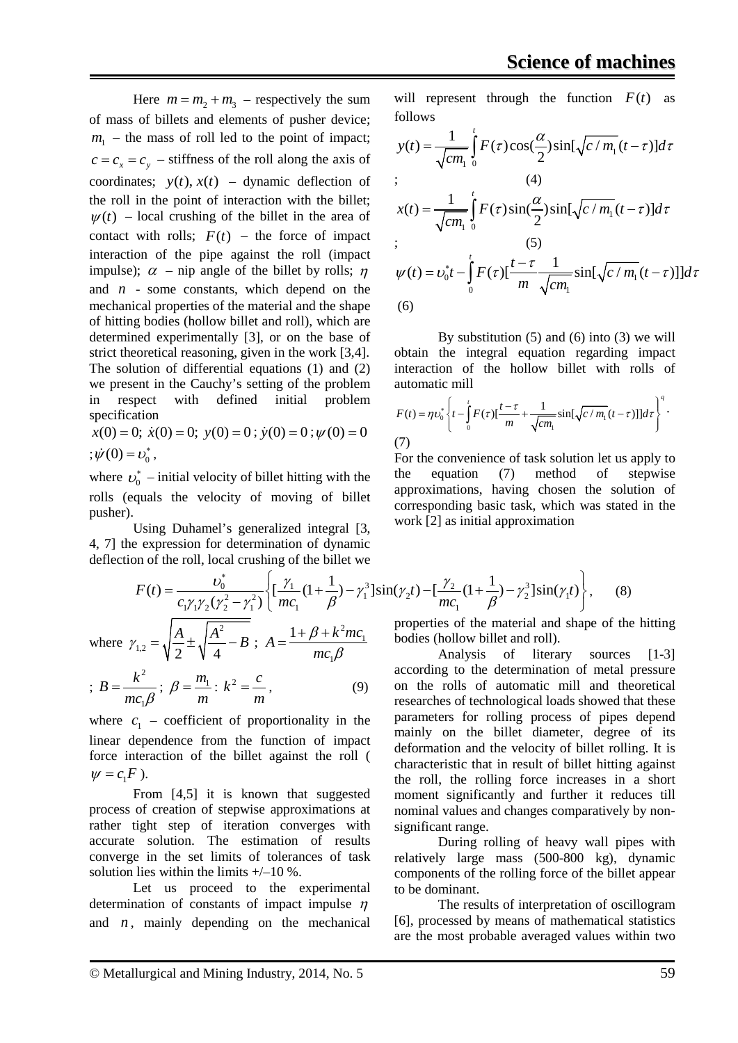Here  $m = m_2 + m_3$  – respectively the sum of mass of billets and elements of pusher device;  $m_1$  – the mass of roll led to the point of impact;  $c = c_x = c_y$  – stiffness of the roll along the axis of coordinates;  $y(t)$ ,  $x(t)$  – dynamic deflection of the roll in the point of interaction with the billet;  $\psi(t)$  – local crushing of the billet in the area of contact with rolls;  $F(t)$  – the force of impact interaction of the pipe against the roll (impact impulse);  $\alpha$  – nip angle of the billet by rolls;  $\eta$ and *n* - some constants, which depend on the mechanical properties of the material and the shape of hitting bodies (hollow billet and roll), which are determined experimentally [3], or on the base of strict theoretical reasoning, given in the work [3,4]. The solution of differential equations (1) and (2) we present in the Cauchy's setting of the problem in respect with defined initial problem specification

 $x(0) = 0$ ;  $\dot{x}(0) = 0$ ;  $y(0) = 0$ ;  $\dot{y}(0) = 0$ ;  $\psi(0) = 0$  $;\dot{\psi}(0) = v_0^*$ ,

where  $v_0^*$  – initial velocity of billet hitting with the rolls (equals the velocity of moving of billet pusher).

Using Duhamel's generalized integral [3, 4, 7] the expression for determination of dynamic deflection of the roll, local crushing of the billet we

*m*

solution lies within the limits  $+/-10\%$ .

where  $c_1$  – coefficient of proportionality in the linear dependence from the function of impact force interaction of the billet against the roll (

process of creation of stepwise approximations at rather tight step of iteration converges with accurate solution. The estimation of results converge in the set limits of tolerances of task

From [4,5] it is known that suggested

Let us proceed to the experimental

;

2

1  $B = \frac{k^2}{mc_1\beta}$ ;  $\beta = \frac{m_1}{m}$ 

 $\psi = c_1 F$ ).

will represent through the function  $F(t)$  as follows

$$
y(t) = \frac{1}{\sqrt{cm_1}} \int_0^t F(\tau) \cos(\frac{\alpha}{2}) \sin[\sqrt{c/m_1}(t-\tau)]d\tau
$$
  
\n
$$
x(t) = \frac{1}{\sqrt{cm_1}} \int_0^t F(\tau) \sin(\frac{\alpha}{2}) \sin[\sqrt{c/m_1}(t-\tau)]d\tau
$$
  
\n
$$
y(t) = v_0^* t - \int_0^t F(\tau) [\frac{t-\tau}{m} \frac{1}{\sqrt{cm_1}} \sin[\sqrt{c/m_1}(t-\tau)]]d\tau
$$
  
\n(6)

By substitution (5) and (6) into (3) we will obtain the integral equation regarding impact interaction of the hollow billet with rolls of automatic mill

$$
F(t) = \eta v_0^* \left\{ t - \int_0^t F(\tau) \left[ \frac{t - \tau}{m} + \frac{1}{\sqrt{cm_1}} \sin[\sqrt{c/m_1} (t - \tau)] \right] d\tau \right\}^q.
$$
  
(7)

For the convenience of task solution let us apply to the equation (7) method of stepwise approximations, having chosen the solution of corresponding basic task, which was stated in the work [2] as initial approximation

$$
F(t) = \frac{v_0^*}{c_1 \gamma_1 \gamma_2 (\gamma_2^2 - \gamma_1^2)} \left\{ \left[ \frac{\gamma_1}{mc_1} (1 + \frac{1}{\beta}) - \gamma_1^3 \right] \sin(\gamma_2 t) - \left[ \frac{\gamma_2}{mc_1} (1 + \frac{1}{\beta}) - \gamma_2^3 \right] \sin(\gamma_1 t) \right\},
$$
(8)  
where  $\gamma_{1,2} = \sqrt{\frac{A}{2} \pm \sqrt{\frac{A^2}{4} - B}}$ ;  $A = \frac{1 + \beta + k^2 mc_1}{mc_1 \beta}$  properties of the material and shape of the  
bodies (hollow billet and roll).  
Analysis of literary sources

1

β

*mc*

 $\beta = \frac{m_1}{m}$ :  $k^2 = \frac{c}{m}$ , (9)

Analysis of literary sources [1-3] according to the determination of metal pressure on the rolls of automatic mill and theoretical researches of technological loads showed that these parameters for rolling process of pipes depend mainly on the billet diameter, degree of its deformation and the velocity of billet rolling. It is characteristic that in result of billet hitting against the roll, the rolling force increases in a short moment significantly and further it reduces till nominal values and changes comparatively by nonsignificant range.

During rolling of heavy wall pipes with relatively large mass (500-800 kg), dynamic components of the rolling force of the billet appear to be dominant.

The results of interpretation of oscillogram [6], processed by means of mathematical statistics are the most probable averaged values within two

#### © Metallurgical and Mining Industry, 2014, No. 5 59

determination of constants of impact impulse  $n$ and  $n$ , mainly depending on the mechanical hitting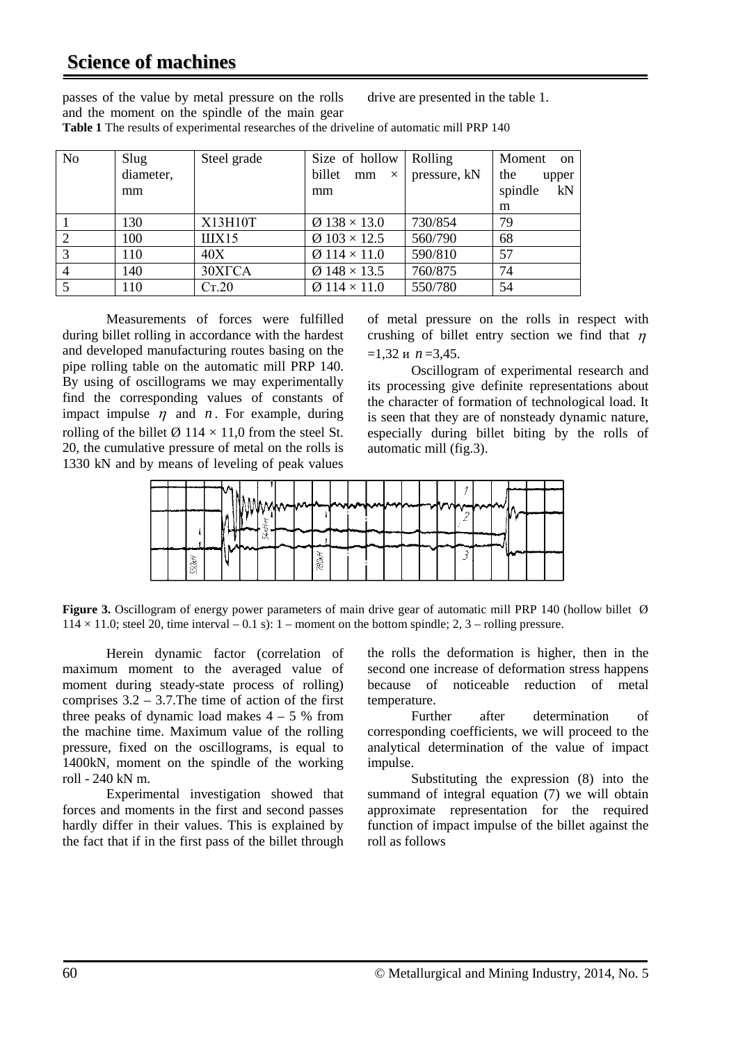## **Science of machines**

passes of the value by metal pressure on the rolls and the moment on the spindle of the main gear drive are presented in the table 1.

| N <sub>o</sub> | Slug      | Steel grade | Size of hollow                  | Rolling      | Moment<br><sub>on</sub> |
|----------------|-----------|-------------|---------------------------------|--------------|-------------------------|
|                | diameter, |             | billet<br>mm<br>$\times$        | pressure, kN | the<br>upper            |
|                | mm        |             | mm                              |              | kN<br>spindle           |
|                |           |             |                                 |              | m                       |
|                | 130       | X13H10T     | $\varnothing$ 138 $\times$ 13.0 | 730/854      | 79                      |
| $\overline{2}$ | 100       | IIIX15      | $\varnothing$ 103 × 12.5        | 560/790      | 68                      |
| 3              | 110       | 40X         | $\varnothing$ 114 $\times$ 11.0 | 590/810      | 57                      |
| $\overline{4}$ | 140       | 30XTCA      | $\varnothing$ 148 × 13.5        | 760/875      | 74                      |
| 5              | 110       | Cr.20       | $\varnothing$ 114 $\times$ 11.0 | 550/780      | 54                      |

**Table 1** The results of experimental researches of the driveline of automatic mill PRP 140

Measurements of forces were fulfilled during billet rolling in accordance with the hardest and developed manufacturing routes basing on the pipe rolling table on the automatic mill PRP 140. By using of oscillograms we may experimentally find the corresponding values of constants of impact impulse  $\eta$  and  $n$ . For example, during rolling of the billet  $\varnothing$  114  $\times$  11.0 from the steel St. 20, the cumulative pressure of metal on the rolls is 1330 kN and by means of leveling of peak values

of metal pressure on the rolls in respect with crushing of billet entry section we find that  $\eta$  $=1,32$  *u*  $n=3,45$ .

Oscillogram of experimental research and its processing give definite representations about the character of formation of technological load. It is seen that they are of nonsteady dynamic nature, especially during billet biting by the rolls of automatic mill (fig.3).



**Figure 3.** Oscillogram of energy power parameters of main drive gear of automatic mill PRP 140 (hollow billet Ø  $114 \times 11.0$ ; steel 20, time interval – 0.1 s): 1 – moment on the bottom spindle; 2, 3 – rolling pressure.

Herein dynamic factor (correlation of maximum moment to the averaged value of moment during steady-state process of rolling) comprises  $3.2 - 3.7$ . The time of action of the first three peaks of dynamic load makes  $4 - 5$  % from the machine time. Maximum value of the rolling pressure, fixed on the oscillograms, is equal to 1400kN, moment on the spindle of the working roll - 240 kN m.

Experimental investigation showed that forces and moments in the first and second passes hardly differ in their values. This is explained by the fact that if in the first pass of the billet through

the rolls the deformation is higher, then in the second one increase of deformation stress happens because of noticeable reduction of metal temperature.

Further after determination of corresponding coefficients, we will proceed to the analytical determination of the value of impact impulse.

Substituting the expression (8) into the summand of integral equation (7) we will obtain approximate representation for the required function of impact impulse of the billet against the roll as follows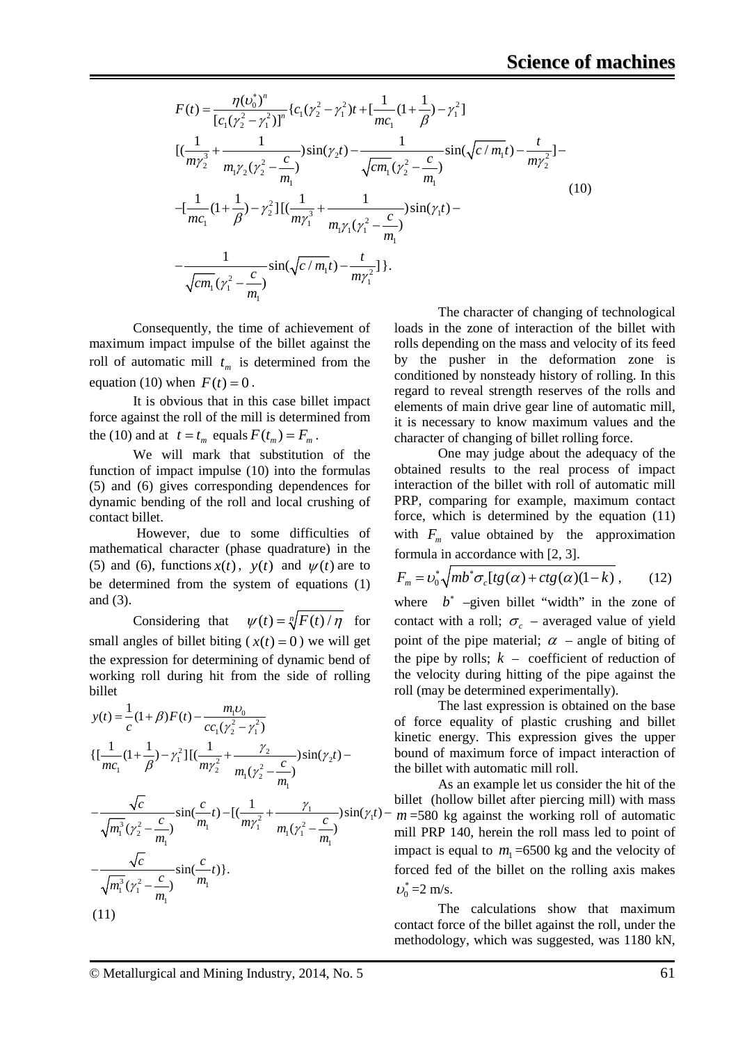$$
F(t) = \frac{\eta(v_0^*)^n}{[c_1(\gamma_2^2 - \gamma_1^2)]^n} \{c_1(\gamma_2^2 - \gamma_1^2)t + [\frac{1}{mc_1}(1 + \frac{1}{\beta}) - \gamma_1^2]
$$
  
\n
$$
[(\frac{1}{m\gamma_2^3} + \frac{1}{m_1\gamma_2(\gamma_2^2 - \frac{c}{m_1})})sin(\gamma_2 t) - \frac{1}{\sqrt{cm_1}(\gamma_2^2 - \frac{c}{m_1})}sin(\sqrt{c/m_1}t) - \frac{t}{m\gamma_2^2}] -
$$
  
\n
$$
-[\frac{1}{mc_1}(1 + \frac{1}{\beta}) - \gamma_2^2][(\frac{1}{m\gamma_1^3} + \frac{1}{m_1\gamma_1(\gamma_1^2 - \frac{c}{m_1})})sin(\gamma_1 t) -
$$
  
\n
$$
-\frac{1}{\sqrt{cm_1}(\gamma_1^2 - \frac{c}{m_1})}sin(\sqrt{c/m_1}t) - \frac{t}{m\gamma_1^2}].
$$
  
\n(10)

Consequently, the time of achievement of maximum impact impulse of the billet against the roll of automatic mill  $t_m$  is determined from the equation (10) when  $F(t) = 0$ .

It is obvious that in this case billet impact force against the roll of the mill is determined from the (10) and at  $t = t_m$  equals  $F(t_m) = F_m$ .

We will mark that substitution of the function of impact impulse (10) into the formulas (5) and (6) gives corresponding dependences for dynamic bending of the roll and local crushing of contact billet.

However, due to some difficulties of mathematical character (phase quadrature) in the (5) and (6), functions  $x(t)$ ,  $y(t)$  and  $\psi(t)$  are to be determined from the system of equations (1) and (3).

Considering that  $\psi(t) = \sqrt[n]{F(t)/\eta}$  for small angles of billet biting ( $x(t) = 0$ ) we will get the expression for determining of dynamic bend of working roll during hit from the side of rolling billet

$$
y(t) = \frac{1}{c}(1+\beta)F(t) - \frac{m_1v_0}{cc_1(\gamma_2^2 - \gamma_1^2)}
$$
  
\n
$$
\{[\frac{1}{mc_1}(1+\frac{1}{\beta}) - \gamma_1^2][(\frac{1}{m\gamma_2^2} + \frac{\gamma_2}{m_1(\gamma_2^2 - \frac{c}{m_1})})sin(\gamma_2t) - \frac{\sqrt{c}}{\sqrt{m_1^3}(\gamma_2^2 - \frac{c}{m_1})}sin(\frac{c}{m_1}t) - [(\frac{1}{m\gamma_1^2} + \frac{\gamma_1}{m_1(\gamma_1^2 - \frac{c}{m_1})})sin(\gamma_1t) - \frac{\sqrt{c}}{\sqrt{m_1^3}(\gamma_1^2 - \frac{c}{m_1})}sin(\frac{c}{m_1}t)\}.
$$
  
\n(11)

The character of changing of technological loads in the zone of interaction of the billet with rolls depending on the mass and velocity of its feed by the pusher in the deformation zone is conditioned by nonsteady history of rolling. In this regard to reveal strength reserves of the rolls and elements of main drive gear line of automatic mill, it is necessary to know maximum values and the character of changing of billet rolling force.

One may judge about the adequacy of the obtained results to the real process of impact interaction of the billet with roll of automatic mill PRP, comparing for example, maximum contact force, which is determined by the equation (11) with  $F_m$  value obtained by the approximation formula in accordance with [2, 3].

$$
F_m = \upsilon_0^* \sqrt{mb^* \sigma_c [tg(\alpha) + ctg(\alpha)(1-k)} , \qquad (12)
$$

where *b*<sup>∗</sup> –given billet "width" in the zone of contact with a roll;  $\sigma_c$  – averaged value of yield point of the pipe material;  $\alpha$  – angle of biting of the pipe by rolls;  $k -$  coefficient of reduction of the velocity during hitting of the pipe against the roll (may be determined experimentally).

The last expression is obtained on the base of force equality of plastic crushing and billet kinetic energy. This expression gives the upper bound of maximum force of impact interaction of the billet with automatic mill roll.

As an example let us consider the hit of the billet (hollow billet after piercing mill) with mass  $m = 580$  kg against the working roll of automatic mill PRP 140, herein the roll mass led to point of impact is equal to  $m_1 = 6500$  kg and the velocity of forced fed of the billet on the rolling axis makes  $v_0^* = 2$  m/s.

The calculations show that maximum contact force of the billet against the roll, under the methodology, which was suggested, was 1180 kN,